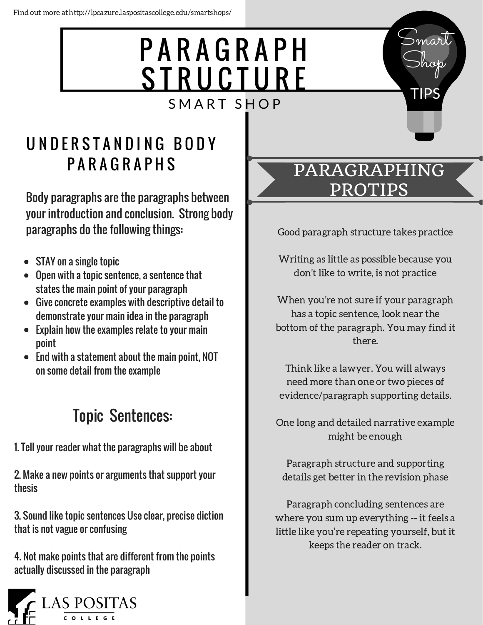# P A R A G R A P H S T R U C T U R E SMART SHOP

### UNDERSTANDING BODY **PARAGRAPHS**

Body paragraphs are the paragraphs between your introduction and conclusion. Strong body paragraphs do the following things:

- STAY on a single topic
- Open with a topic sentence, a sentence that states the main point of your paragraph
- Give concrete examples with descriptive detail to demonstrate your main idea in the paragraph
- Explain how the examples relate to your main point
- End with a statement about the main point, NOT on some detail from the example

#### Topic Sentences:

1. Tell your reader what the paragraphs will be about

2. Make a new points or arguments that support your thesis

3. Sound like topic sentences Use clear, precise diction that is not vague or confusing

4. Not make points that are different from the points actually discussed in the paragraph



#### PARAGRAPHING PROTIPS

Smart

Shop

TIPS

Good paragraph structure takes practice

Writing as little as possible because you don't like to write, is not practice

When you're not sure if your paragraph has a topic sentence, look near the bottom of the paragraph. You may find it there.

Think like a lawyer. You will always need more than one or two pieces of evidence/paragraph supporting details.

One long and detailed narrative example might be enough

Paragraph structure and supporting details get better in the revision phase

Paragraph concluding sentences are where you sum up everything -- it feels a little like you're repeating yourself, but it keeps the reader on track.